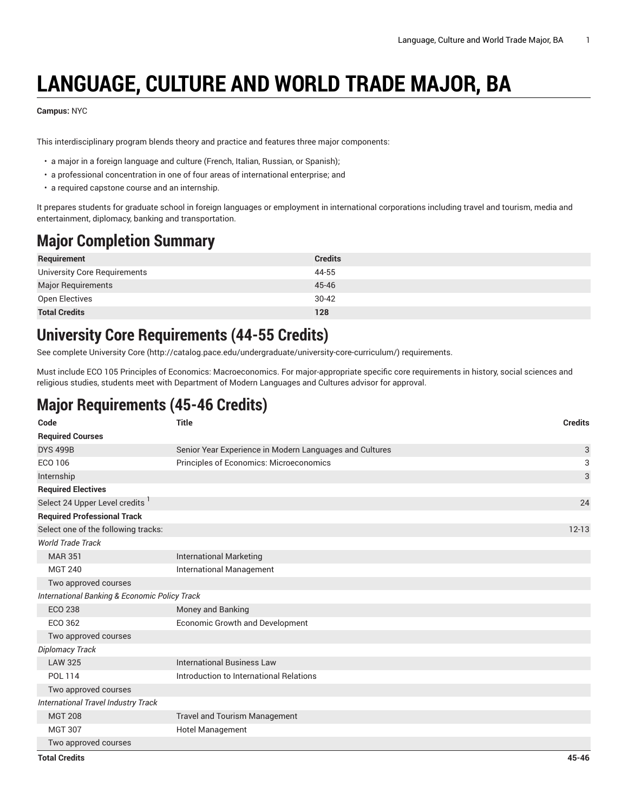# **LANGUAGE, CULTURE AND WORLD TRADE MAJOR, BA**

#### **Campus:** NYC

This interdisciplinary program blends theory and practice and features three major components:

- a major in a foreign language and culture (French, Italian, Russian, or Spanish);
- a professional concentration in one of four areas of international enterprise; and
- a required capstone course and an internship.

It prepares students for graduate school in foreign languages or employment in international corporations including travel and tourism, media and entertainment, diplomacy, banking and transportation.

# **Major Completion Summary**

| Requirement                  | <b>Credits</b> |
|------------------------------|----------------|
| University Core Requirements | 44-55          |
| Major Requirements           | 45-46          |
| Open Electives               | $30 - 42$      |
| <b>Total Credits</b>         | 128            |

### **University Core Requirements (44-55 Credits)**

See complete [University](http://catalog.pace.edu/undergraduate/university-core-curriculum/) Core (<http://catalog.pace.edu/undergraduate/university-core-curriculum/>) requirements.

Must include ECO 105 Principles of Economics: Macroeconomics. For major-appropriate specific core requirements in history, social sciences and religious studies, students meet with Department of Modern Languages and Cultures advisor for approval.

## **Major Requirements (45-46 Credits)**

| Code                                          | <b>Title</b>                                            | <b>Credits</b> |
|-----------------------------------------------|---------------------------------------------------------|----------------|
| <b>Required Courses</b>                       |                                                         |                |
| <b>DYS 499B</b>                               | Senior Year Experience in Modern Languages and Cultures | 3              |
| ECO 106                                       | Principles of Economics: Microeconomics                 | 3              |
| Internship                                    |                                                         | $\sqrt{3}$     |
| <b>Required Electives</b>                     |                                                         |                |
| Select 24 Upper Level credits <sup>1</sup>    |                                                         | 24             |
| <b>Required Professional Track</b>            |                                                         |                |
| Select one of the following tracks:           |                                                         | $12 - 13$      |
| <b>World Trade Track</b>                      |                                                         |                |
| <b>MAR 351</b>                                | <b>International Marketing</b>                          |                |
| <b>MGT 240</b>                                | <b>International Management</b>                         |                |
| Two approved courses                          |                                                         |                |
| International Banking & Economic Policy Track |                                                         |                |
| <b>ECO 238</b>                                | Money and Banking                                       |                |
| ECO 362                                       | Economic Growth and Development                         |                |
| Two approved courses                          |                                                         |                |
| Diplomacy Track                               |                                                         |                |
| <b>LAW 325</b>                                | <b>International Business Law</b>                       |                |
| <b>POL 114</b>                                | Introduction to International Relations                 |                |
| Two approved courses                          |                                                         |                |
| International Travel Industry Track           |                                                         |                |
| <b>MGT 208</b>                                | <b>Travel and Tourism Management</b>                    |                |
| <b>MGT 307</b>                                | Hotel Management                                        |                |
| Two approved courses                          |                                                         |                |
| <b>Total Credits</b>                          |                                                         | $45 - 46$      |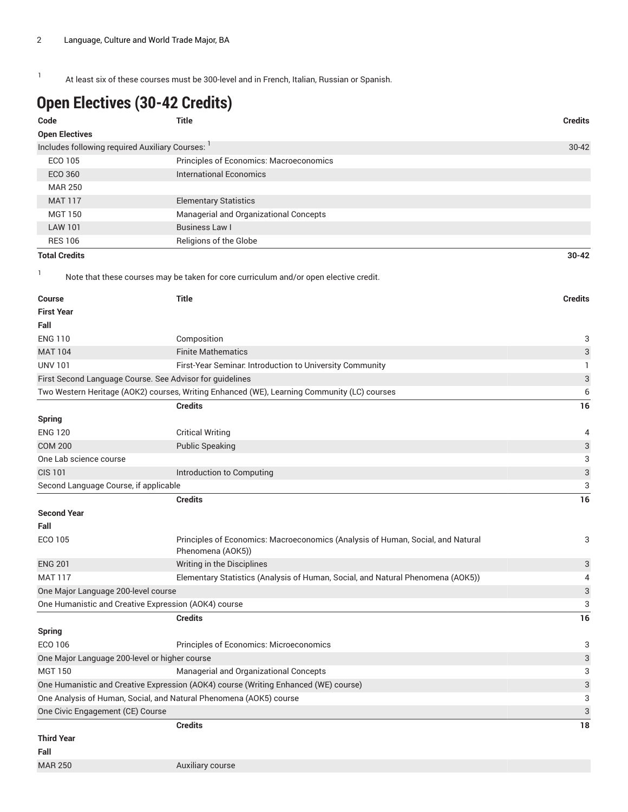1 At least six of these courses must be 300-level and in French, Italian, Russian or Spanish.

# **Open Electives (30-42 Credits)**

| Code                                                               | <b>Title</b>                                                                                         | <b>Credits</b>            |
|--------------------------------------------------------------------|------------------------------------------------------------------------------------------------------|---------------------------|
| <b>Open Electives</b>                                              |                                                                                                      |                           |
| Includes following required Auxiliary Courses:                     |                                                                                                      | 30-42                     |
| <b>ECO 105</b>                                                     | Principles of Economics: Macroeconomics                                                              |                           |
| ECO 360                                                            | <b>International Economics</b>                                                                       |                           |
| <b>MAR 250</b>                                                     |                                                                                                      |                           |
| <b>MAT 117</b>                                                     | <b>Elementary Statistics</b>                                                                         |                           |
| <b>MGT 150</b>                                                     | Managerial and Organizational Concepts                                                               |                           |
| <b>LAW 101</b>                                                     | <b>Business Law I</b>                                                                                |                           |
| <b>RES 106</b>                                                     | Religions of the Globe                                                                               |                           |
| <b>Total Credits</b>                                               |                                                                                                      | $30 - 42$                 |
| 1                                                                  | Note that these courses may be taken for core curriculum and/or open elective credit.                |                           |
| <b>Course</b>                                                      | <b>Title</b>                                                                                         | <b>Credits</b>            |
| <b>First Year</b>                                                  |                                                                                                      |                           |
| Fall                                                               |                                                                                                      |                           |
| <b>ENG 110</b>                                                     | Composition                                                                                          | 3                         |
| <b>MAT 104</b>                                                     | <b>Finite Mathematics</b>                                                                            | $\sqrt{3}$                |
| <b>UNV 101</b>                                                     | First-Year Seminar. Introduction to University Community                                             | 1                         |
| First Second Language Course. See Advisor for guidelines           |                                                                                                      | $\ensuremath{\mathsf{3}}$ |
|                                                                    | Two Western Heritage (AOK2) courses, Writing Enhanced (WE), Learning Community (LC) courses          | 6                         |
|                                                                    | <b>Credits</b>                                                                                       | 16                        |
| <b>Spring</b>                                                      |                                                                                                      |                           |
| <b>ENG 120</b>                                                     | <b>Critical Writing</b>                                                                              | 4                         |
| <b>COM 200</b>                                                     | <b>Public Speaking</b>                                                                               | $\ensuremath{\mathsf{3}}$ |
| One Lab science course                                             |                                                                                                      | 3                         |
| <b>CIS 101</b>                                                     | Introduction to Computing                                                                            | $\ensuremath{\mathsf{3}}$ |
| Second Language Course, if applicable                              |                                                                                                      | 3                         |
|                                                                    | <b>Credits</b>                                                                                       | 16                        |
| <b>Second Year</b>                                                 |                                                                                                      |                           |
| Fall                                                               |                                                                                                      |                           |
| ECO 105                                                            | Principles of Economics: Macroeconomics (Analysis of Human, Social, and Natural<br>Phenomena (AOK5)) | 3                         |
| <b>ENG 201</b>                                                     | Writing in the Disciplines                                                                           | 3                         |
| <b>MAT 117</b>                                                     | Elementary Statistics (Analysis of Human, Social, and Natural Phenomena (AOK5))                      | 4                         |
| One Major Language 200-level course                                |                                                                                                      | 3                         |
| One Humanistic and Creative Expression (AOK4) course               |                                                                                                      | 3                         |
|                                                                    | <b>Credits</b>                                                                                       | 16                        |
| <b>Spring</b>                                                      |                                                                                                      |                           |
| ECO 106                                                            | Principles of Economics: Microeconomics                                                              | 3                         |
| One Major Language 200-level or higher course                      |                                                                                                      | 3                         |
| <b>MGT 150</b>                                                     | Managerial and Organizational Concepts                                                               | 3                         |
|                                                                    | One Humanistic and Creative Expression (AOK4) course (Writing Enhanced (WE) course)                  | 3                         |
| One Analysis of Human, Social, and Natural Phenomena (AOK5) course |                                                                                                      | 3                         |
| One Civic Engagement (CE) Course                                   |                                                                                                      | 3                         |
|                                                                    | <b>Credits</b>                                                                                       | 18                        |
| <b>Third Year</b>                                                  |                                                                                                      |                           |
| Fall<br><b>MAR 250</b>                                             |                                                                                                      |                           |
|                                                                    | Auxiliary course                                                                                     |                           |